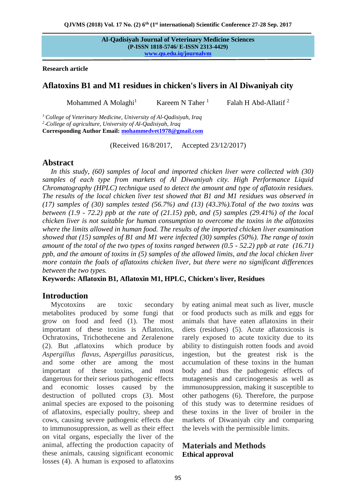**Al-Qadisiyah Journal of Veterinary Medicine Sciences (P-ISSN 1818-5746/ E-ISSN 2313-4429) [www.qu.edu.iq/journalvm](http://www.qu.edu.iq/journalvm/index.php/vm)**

**Research article** 

## **Aflatoxins B1 and M1 residues in chicken's livers in Al Diwaniyah city**

Mohammed A Molaghi $<sup>1</sup>$ </sup> Kareem N Taher  $<sup>1</sup>$ </sup> Falah H Abd-Allatif <sup>2</sup>

*<sup>1</sup>*-*College of Veterinary Medicine, University of Al-Qadisiyah, Iraq 2* -*College of agriculture, University of Al-Qadisiyah, Iraq* **Corresponding Author Email: [mohammedvet1978@gmail.com](mailto:mohammedvet1978@gmail.com)**

(Received 16/8/2017, Accepted 23/12/2017)

## **Abstract**

*In this study, (60) samples of local and imported chicken liver were collected with (30) samples of each type from markets of Al Diwaniyah city. High Performance Liquid Chromatography (HPLC) technique used to detect the amount and type of aflatoxin residues. The results of the local chicken liver test showed that B1 and M1 residues was observed in (17) samples of (30) samples tested (56.7%) and (13) (43.3%).Total of the two toxins was between (1.9 - 72.2) ppb at the rate of (21.15) ppb, and (5) samples (29.41%) of the local chicken liver is not suitable for human consumption to overcome the toxins in the alfatoxins where the limits allowed in human food. The results of the imported chicken liver examination showed that (15) samples of B1 and M1 were infected (30) samples (50%). The range of toxin amount of the total of the two types of toxins ranged between (0.5 - 52.2) ppb at rate (16.71) ppb, and the amount of toxins in (5) samples of the allowed limits, and the local chicken liver more contain the foals of aflatoxins chicken liver, but there were no significant differences between the two types.*

**Keywords: Aflatoxin B1, Aflatoxin M1, HPLC, Chicken's liver, Residues**

# **Introduction**

Mycotoxins are toxic secondary metabolites produced by some fungi that grow on food and feed (1). The most important of these toxins is Aflatoxins, Ochratoxins, Trichothecene and Zeralenone (2). But ,aflatoxins which produce by *Aspergillus flavus*, *Aspergillus parasiticus*, and some other are among the most important of these toxins, and most dangerous for their serious pathogenic effects and economic losses caused by the destruction of polluted crops (3). Most animal species are exposed to the poisoning of aflatoxins, especially poultry, sheep and cows, causing severe pathogenic effects due to immunosuppression, as well as their effect on vital organs, especially the liver of the animal, affecting the production capacity of these animals, causing significant economic losses (4). A human is exposed to aflatoxins

by eating animal meat such as liver, muscle or food products such as milk and eggs for animals that have eaten aflatoxins in their diets (residues) (5). Acute aflatoxicosis is rarely exposed to acute toxicity due to its ability to distinguish rotten foods and avoid ingestion, but the greatest risk is the accumulation of these toxins in the human body and thus the pathogenic effects of mutagenesis and carcinogenesis as well as immunosuppression, making it susceptible to other pathogens (6). Therefore, the purpose of this study was to determine residues of these toxins in the liver of broiler in the markets of Diwaniyah city and comparing the levels with the permissible limits.

## **Materials and Methods Ethical approval**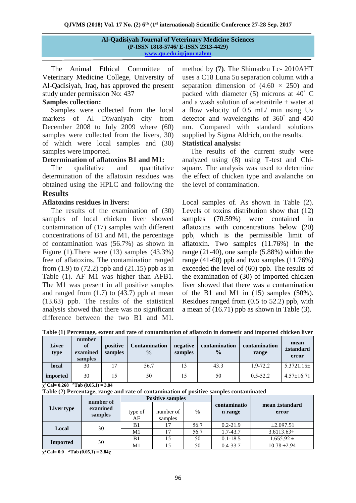| <b>Al-Qadisiyah Journal of Veterinary Medicine Sciences</b> |  |
|-------------------------------------------------------------|--|
| (P-ISSN 1818-5746/ E-ISSN 2313-4429)                        |  |
| www.qu.edu.iq/journalym                                     |  |

The Animal Ethical Committee of Veterinary Medicine College, University of Al-Qadisiyah, Iraq, has approved the present study under permission No: 437

## **Samples collection:**

Samples were collected from the local markets of Al Diwaniyah city from December 2008 to July 2009 where (60) samples were collected from the livers, 30) of which were local samples and (30) samples were imported.

#### **Determination of aflatoxins B1 and M1:**

The qualitative and quantitative determination of the aflatoxin residues was obtained using the HPLC and following the

#### **Results**

#### **Aflatoxins residues in livers:**

The results of the examination of (30) samples of local chicken liver showed contamination of (17) samples with different concentrations of B1 and M1, the percentage of contamination was (56.7%) as shown in Figure (1).There were (13) samples (43.3%) free of aflatoxins. The contamination ranged from  $(1.9)$  to  $(72.2)$  ppb and  $(21.15)$  ppb as in Table (1). AF M1 was higher than AFB1. The M1 was present in all positive samples and ranged from  $(1.7)$  to  $(43.7)$  ppb at mean (13.63) ppb. The results of the statistical analysis showed that there was no significant difference between the two B1 and M1.

method by **(7)**. The Shimadzu Lc- 2010AHT uses a C18 Luna 5u separation column with a separation dimension of  $(4.60 \times 250)$  and packed with diameter (5) microns at 40° C and a wash solution of acetonitrile + water at a flow velocity of 0.5 mL/ min using Uv detector and wavelengths of 360° and 450 nm. Compared with standard solutions supplied by Sigma Aldrich, on the results. **Statistical analysis:**

The results of the current study were analyzed using (8) using T-test and Chisquare. The analysis was used to determine the effect of chicken type and avalanche on the level of contamination.

Local samples of. As shown in Table (2). Levels of toxins distribution show that (12) samples (70.59%) were contained in aflatoxins with concentrations below (20) ppb, which is the permissible limit of aflatoxin. Two samples (11.76%) in the range (21-40), one sample (5.88%) within the range (41-60) ppb and two samples (11.76%) exceeded the level of (60) ppb. The results of the examination of (30) of imported chicken liver showed that there was a contamination of the B1 and M1 in  $(15)$  samples  $(50\%)$ . Residues ranged from (0.5 to 52.2) ppb, with a mean of (16.71) ppb as shown in Table (3).

**Table (1) Percentage, extent and rate of contamination of aflatoxin in domestic and imported chicken liver**

| <b>Liver</b><br>type | number<br>of<br>examined<br>samples | positive<br>samples | <b>Contamination</b><br>$\%$ | negative<br>samples | contamination<br>$\frac{0}{0}$ | contamination<br>range | mean<br>$\pm$ standard<br>error |
|----------------------|-------------------------------------|---------------------|------------------------------|---------------------|--------------------------------|------------------------|---------------------------------|
| local                | 30                                  | 7                   | 56.7                         |                     | 43.3                           | $1.9 - 72.2$           | $5.3721.15\pm$                  |
| imported             | 30                                  | 15                  | 50                           |                     | 50                             | $0.5 - 52.2$           | $4.57 \pm 16.71$                |

 $\chi^2$  Cal= 0.268  $^2$  Tab (0.05,1) = 3.84

**Table (2) Percentage, range and rate of contamination of positive samples contaminated** 

|                 | number of<br>examined<br>samples | <b>Positive samples</b> |                      |      |                         |                         |
|-----------------|----------------------------------|-------------------------|----------------------|------|-------------------------|-------------------------|
| Liver type      |                                  | type of<br>AF           | number of<br>samples | $\%$ | contaminatio<br>n range | mean ±standard<br>error |
| Local           | 30                               | B1                      |                      | 56.7 | $0.2 - 21.9$            | $\pm 2.097.51$          |
|                 |                                  | M1                      | 17                   | 56.7 | 1.7-43.7                | $3.6113.63\pm$          |
| <b>Imported</b> | 30                               | B1                      | 15                   | 50   | $0.1 - 18.5$            | $1.655.92 \pm$          |
|                 |                                  | M1                      |                      | 50   | $0.4 - 33.7$            | $10.78 \pm 2.94$        |

**χ <sup>2</sup>Cal= 0.0 2 Tab (0.05,1) = 3.84χ**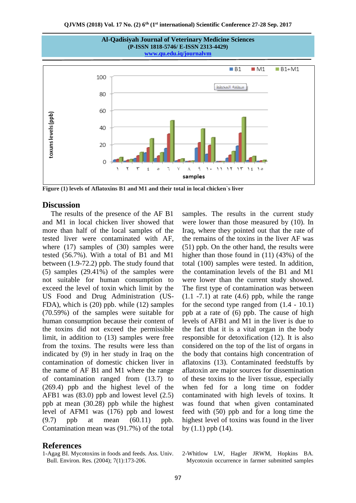

**Figure (1) levels of Aflatoxins B1 and M1 and their total in local chicken`s liver**

#### **Discussion**

The results of the presence of the AF B1 and M1 in local chicken liver showed that more than half of the local samples of the tested liver were contaminated with AF, where (17) samples of (30) samples were tested (56.7%). With a total of B1 and M1 between (1.9-72.2) ppb. The study found that (5) samples (29.41%) of the samples were not suitable for human consumption to exceed the level of toxin which limit by the US Food and Drug Administration (US-FDA), which is (20) ppb. while (12) samples (70.59%) of the samples were suitable for human consumption because their content of the toxins did not exceed the permissible limit, in addition to (13) samples were free from the toxins. The results were less than indicated by (9) in her study in Iraq on the contamination of domestic chicken liver in the name of AF B1 and M1 where the range of contamination ranged from (13.7) to (269.4) ppb and the highest level of the AFB1 was (83.0) ppb and lowest level (2.5) ppb at mean (30.28) ppb while the highest level of AFM1 was (176) ppb and lowest (9.7) ppb at mean (60.11) ppb. Contamination mean was (91.7%) of the total

## **References**

1-Agag BI. Mycotoxins in foods and feeds. Ass. Univ. Bull. Environ. Res. (2004); 7(1):173-206.

samples. The results in the current study were lower than those measured by (10). In Iraq, where they pointed out that the rate of the remains of the toxins in the liver AF was (51) ppb. On the other hand, the results were higher than those found in (11) (43%) of the total (100) samples were tested. In addition, the contamination levels of the B1 and M1 were lower than the current study showed. The first type of contamination was between  $(1.1 - 7.1)$  at rate  $(4.6)$  ppb, while the range for the second type ranged from (1.4 - 10.1) ppb at a rate of (6) ppb. The cause of high levels of AFB1 and M1 in the liver is due to the fact that it is a vital organ in the body responsible for detoxification (12). It is also considered on the top of the list of organs in the body that contains high concentration of aflatoxins (13). Contaminated feedstuffs by aflatoxin are major sources for dissemination of these toxins to the liver tissue, especially when fed for a long time on fodder contaminated with high levels of toxins. It was found that when given contaminated feed with (50) ppb and for a long time the highest level of toxins was found in the liver by  $(1.1)$  ppb  $(14)$ .

2-Whitlow LW, Hagler JRWM, Hopkins BA. Mycotoxin occurrence in farmer submitted samples